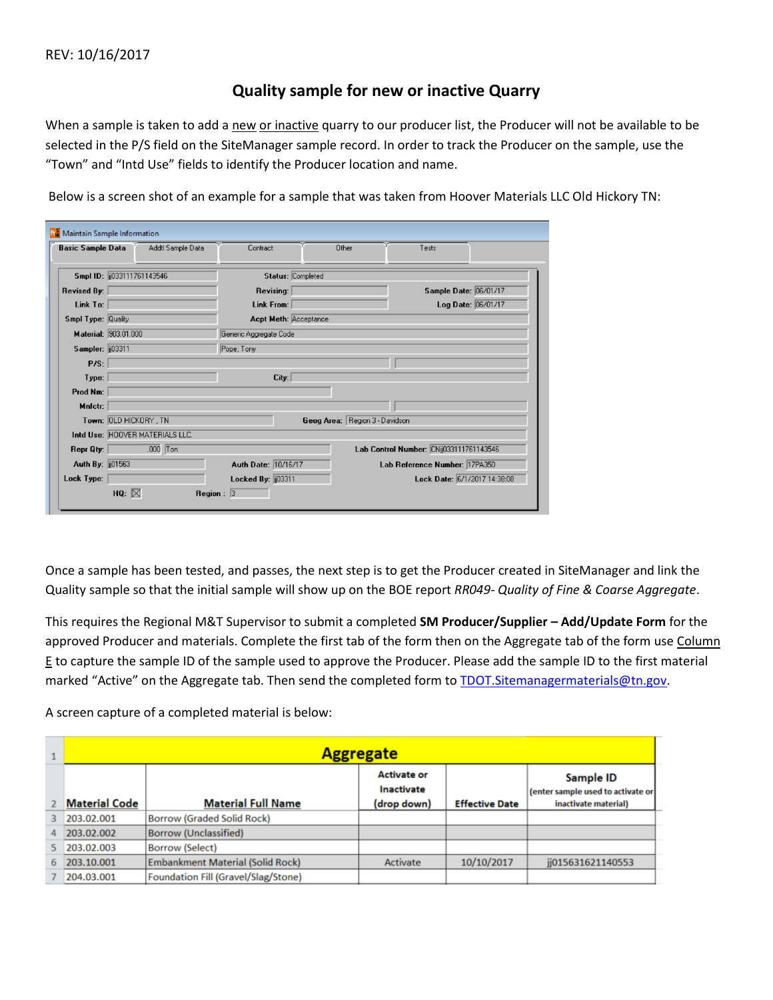## **Quality sample for new or inactive Quarry**

When a sample is taken to add a new or inactive quarry to our producer list, the Producer will not be available to be selected in the P/S field on the SiteManager sample record. In order to track the Producer on the sample, use the "Town" and "Intd Use" fields to identify the Producer location and name.

Below is a screen shot of an example for a sample that was taken from Hoover Materials LLC Old Hickory TN:

| <b>Basic Sample Data</b>   | Addtl Sample Data               | Contract                        | Other                          | Tests                                   |  |  |  |
|----------------------------|---------------------------------|---------------------------------|--------------------------------|-----------------------------------------|--|--|--|
| Smpl ID: [033111761143546] |                                 | Status: Completed               |                                |                                         |  |  |  |
| <b>Revised By:</b>         |                                 | Revising:                       |                                | Sample Date: 06/01/17                   |  |  |  |
| Link To:                   |                                 | Link From:                      |                                | Log Date: 06/01/17                      |  |  |  |
| Smpl Type: Quality         |                                 |                                 | <b>Acpt Meth: Acceptance</b>   |                                         |  |  |  |
| Material: 903.01.000       |                                 | Generic Aggregate Code          |                                |                                         |  |  |  |
| Sampler: 103311            |                                 | Pope, Tony                      |                                |                                         |  |  |  |
| P/S:                       |                                 |                                 |                                |                                         |  |  |  |
| Type:                      |                                 | City:                           |                                |                                         |  |  |  |
| Prod Nm:                   |                                 |                                 |                                |                                         |  |  |  |
| Mnfctr:                    |                                 |                                 |                                |                                         |  |  |  |
| Town: OLD HICKORY, TN      |                                 |                                 | Geog Area: Region 3 - Davidson |                                         |  |  |  |
|                            | Intd Use: HOOVER MATERIALS LLC. |                                 |                                |                                         |  |  |  |
| Repr Qty:                  | $.000$ Ton                      |                                 |                                | Lab Control Number: CNij033111761143546 |  |  |  |
| Auth By: [01563]           |                                 | Auth Date: 10/16/17             |                                | Lab Reference Number: 17PA350           |  |  |  |
| Lock Type:                 |                                 | Locked By: $\frac{103311}{200}$ |                                | Lock Date: 6/1/2017 14:38:08            |  |  |  |

Once a sample has been tested, and passes, the next step is to get the Producer created in SiteManager and link the Quality sample so that the initial sample will show up on the BOE report *RR049- Quality of Fine & Coarse Aggregate*.

This requires the Regional M&T Supervisor to submit a completed **SM Producer/Supplier – Add/Update Form** for the approved Producer and materials. Complete the first tab of the form then on the Aggregate tab of the form use Column E to capture the sample ID of the sample used to approve the Producer. Please add the sample ID to the first material marked "Active" on the Aggregate tab. Then send the completed form to TDOT. Sitemanagermaterials@tn.gov.

A screen capture of a completed material is below:

|    | <b>Aggregate</b>     |                                         |                                                 |                       |                                                                        |  |  |
|----|----------------------|-----------------------------------------|-------------------------------------------------|-----------------------|------------------------------------------------------------------------|--|--|
|    | <b>Material Code</b> | <b>Material Full Name</b>               | <b>Activate or</b><br>Inactivate<br>(drop down) | <b>Effective Date</b> | Sample ID<br>(enter sample used to activate or<br>inactivate material) |  |  |
|    | 203.02.001           | <b>Borrow (Graded Solid Rock)</b>       |                                                 |                       |                                                                        |  |  |
| 4  | 203.02.002           | <b>Borrow (Unclassified)</b>            |                                                 |                       |                                                                        |  |  |
|    | 203.02.003           | <b>Borrow (Select)</b>                  |                                                 |                       |                                                                        |  |  |
| 6. | 203.10.001           | <b>Embankment Material (Solid Rock)</b> | Activate                                        | 10/10/2017            | ii015631621140553                                                      |  |  |
|    | 204.03.001           | Foundation Fill (Gravel/Slag/Stone)     |                                                 |                       |                                                                        |  |  |